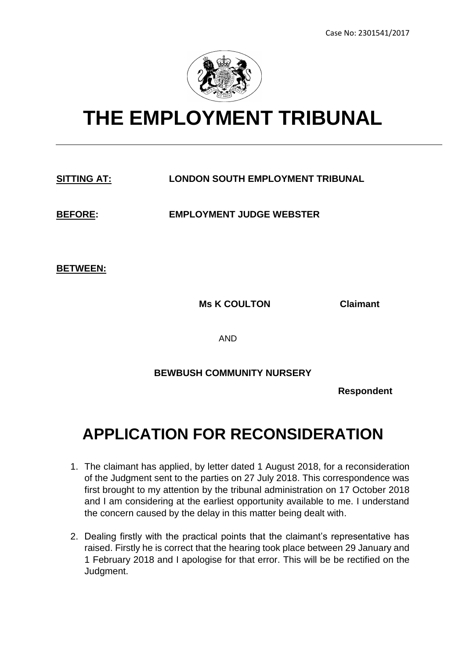

## **THE EMPLOYMENT TRIBUNAL**

## **SITTING AT: LONDON SOUTH EMPLOYMENT TRIBUNAL**

**BEFORE: EMPLOYMENT JUDGE WEBSTER**

**BETWEEN:**

**Ms K COULTON Claimant**

AND

## **BEWBUSH COMMUNITY NURSERY**

**Respondent** 

## **APPLICATION FOR RECONSIDERATION**

- 1. The claimant has applied, by letter dated 1 August 2018, for a reconsideration of the Judgment sent to the parties on 27 July 2018. This correspondence was first brought to my attention by the tribunal administration on 17 October 2018 and I am considering at the earliest opportunity available to me. I understand the concern caused by the delay in this matter being dealt with.
- 2. Dealing firstly with the practical points that the claimant's representative has raised. Firstly he is correct that the hearing took place between 29 January and 1 February 2018 and I apologise for that error. This will be be rectified on the Judgment.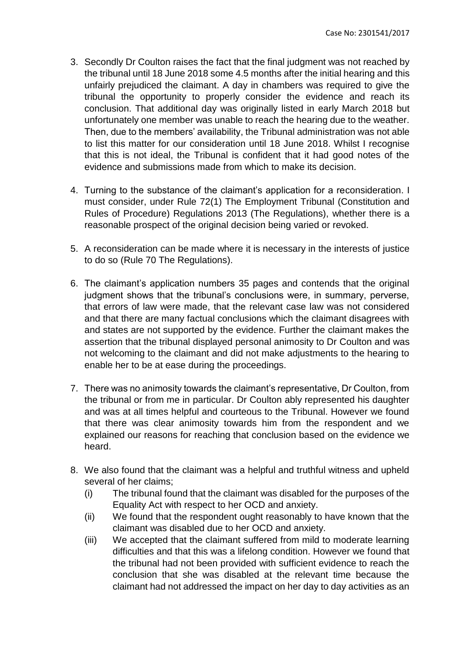- 3. Secondly Dr Coulton raises the fact that the final judgment was not reached by the tribunal until 18 June 2018 some 4.5 months after the initial hearing and this unfairly prejudiced the claimant. A day in chambers was required to give the tribunal the opportunity to properly consider the evidence and reach its conclusion. That additional day was originally listed in early March 2018 but unfortunately one member was unable to reach the hearing due to the weather. Then, due to the members' availability, the Tribunal administration was not able to list this matter for our consideration until 18 June 2018. Whilst I recognise that this is not ideal, the Tribunal is confident that it had good notes of the evidence and submissions made from which to make its decision.
- 4. Turning to the substance of the claimant's application for a reconsideration. I must consider, under Rule 72(1) The Employment Tribunal (Constitution and Rules of Procedure) Regulations 2013 (The Regulations), whether there is a reasonable prospect of the original decision being varied or revoked.
- 5. A reconsideration can be made where it is necessary in the interests of justice to do so (Rule 70 The Regulations).
- 6. The claimant's application numbers 35 pages and contends that the original judgment shows that the tribunal's conclusions were, in summary, perverse, that errors of law were made, that the relevant case law was not considered and that there are many factual conclusions which the claimant disagrees with and states are not supported by the evidence. Further the claimant makes the assertion that the tribunal displayed personal animosity to Dr Coulton and was not welcoming to the claimant and did not make adjustments to the hearing to enable her to be at ease during the proceedings.
- 7. There was no animosity towards the claimant's representative, Dr Coulton, from the tribunal or from me in particular. Dr Coulton ably represented his daughter and was at all times helpful and courteous to the Tribunal. However we found that there was clear animosity towards him from the respondent and we explained our reasons for reaching that conclusion based on the evidence we heard.
- 8. We also found that the claimant was a helpful and truthful witness and upheld several of her claims;
	- (i) The tribunal found that the claimant was disabled for the purposes of the Equality Act with respect to her OCD and anxiety.
	- (ii) We found that the respondent ought reasonably to have known that the claimant was disabled due to her OCD and anxiety.
	- (iii) We accepted that the claimant suffered from mild to moderate learning difficulties and that this was a lifelong condition. However we found that the tribunal had not been provided with sufficient evidence to reach the conclusion that she was disabled at the relevant time because the claimant had not addressed the impact on her day to day activities as an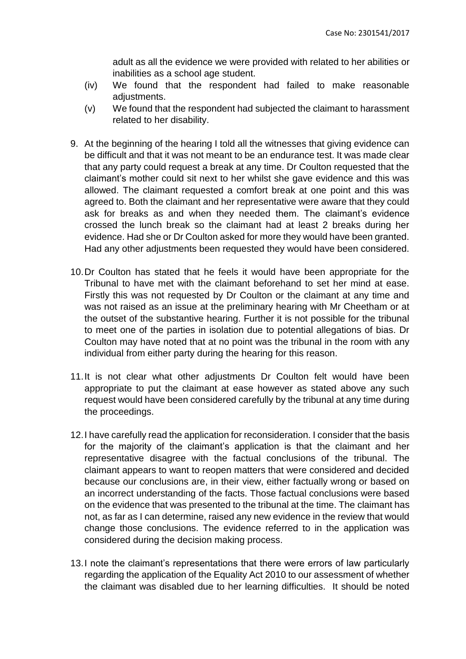adult as all the evidence we were provided with related to her abilities or inabilities as a school age student.

- (iv) We found that the respondent had failed to make reasonable adjustments.
- (v) We found that the respondent had subjected the claimant to harassment related to her disability.
- 9. At the beginning of the hearing I told all the witnesses that giving evidence can be difficult and that it was not meant to be an endurance test. It was made clear that any party could request a break at any time. Dr Coulton requested that the claimant's mother could sit next to her whilst she gave evidence and this was allowed. The claimant requested a comfort break at one point and this was agreed to. Both the claimant and her representative were aware that they could ask for breaks as and when they needed them. The claimant's evidence crossed the lunch break so the claimant had at least 2 breaks during her evidence. Had she or Dr Coulton asked for more they would have been granted. Had any other adjustments been requested they would have been considered.
- 10.Dr Coulton has stated that he feels it would have been appropriate for the Tribunal to have met with the claimant beforehand to set her mind at ease. Firstly this was not requested by Dr Coulton or the claimant at any time and was not raised as an issue at the preliminary hearing with Mr Cheetham or at the outset of the substantive hearing. Further it is not possible for the tribunal to meet one of the parties in isolation due to potential allegations of bias. Dr Coulton may have noted that at no point was the tribunal in the room with any individual from either party during the hearing for this reason.
- 11.It is not clear what other adjustments Dr Coulton felt would have been appropriate to put the claimant at ease however as stated above any such request would have been considered carefully by the tribunal at any time during the proceedings.
- 12.I have carefully read the application for reconsideration. I consider that the basis for the majority of the claimant's application is that the claimant and her representative disagree with the factual conclusions of the tribunal. The claimant appears to want to reopen matters that were considered and decided because our conclusions are, in their view, either factually wrong or based on an incorrect understanding of the facts. Those factual conclusions were based on the evidence that was presented to the tribunal at the time. The claimant has not, as far as I can determine, raised any new evidence in the review that would change those conclusions. The evidence referred to in the application was considered during the decision making process.
- 13.I note the claimant's representations that there were errors of law particularly regarding the application of the Equality Act 2010 to our assessment of whether the claimant was disabled due to her learning difficulties. It should be noted